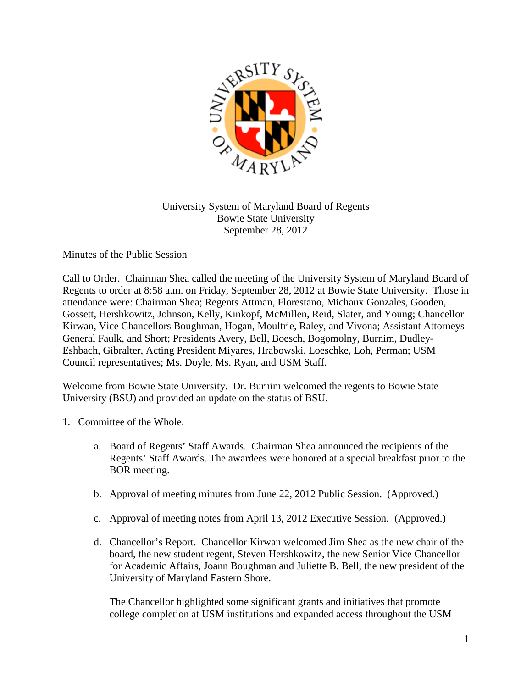

## University System of Maryland Board of Regents Bowie State University September 28, 2012

Minutes of the Public Session

Call to Order. Chairman Shea called the meeting of the University System of Maryland Board of Regents to order at 8:58 a.m. on Friday, September 28, 2012 at Bowie State University. Those in attendance were: Chairman Shea; Regents Attman, Florestano, Michaux Gonzales, Gooden, Gossett, Hershkowitz, Johnson, Kelly, Kinkopf, McMillen, Reid, Slater, and Young; Chancellor Kirwan, Vice Chancellors Boughman, Hogan, Moultrie, Raley, and Vivona; Assistant Attorneys General Faulk, and Short; Presidents Avery, Bell, Boesch, Bogomolny, Burnim, Dudley-Eshbach, Gibralter, Acting President Miyares, Hrabowski, Loeschke, Loh, Perman; USM Council representatives; Ms. Doyle, Ms. Ryan, and USM Staff.

Welcome from Bowie State University. Dr. Burnim welcomed the regents to Bowie State University (BSU) and provided an update on the status of BSU.

- 1. Committee of the Whole.
	- a. Board of Regents' Staff Awards. Chairman Shea announced the recipients of the Regents' Staff Awards. The awardees were honored at a special breakfast prior to the BOR meeting.
	- b. Approval of meeting minutes from June 22, 2012 Public Session. (Approved.)
	- c. Approval of meeting notes from April 13, 2012 Executive Session. (Approved.)
	- d. Chancellor's Report. Chancellor Kirwan welcomed Jim Shea as the new chair of the board, the new student regent, Steven Hershkowitz, the new Senior Vice Chancellor for Academic Affairs, Joann Boughman and Juliette B. Bell, the new president of the University of Maryland Eastern Shore.

The Chancellor highlighted some significant grants and initiatives that promote college completion at USM institutions and expanded access throughout the USM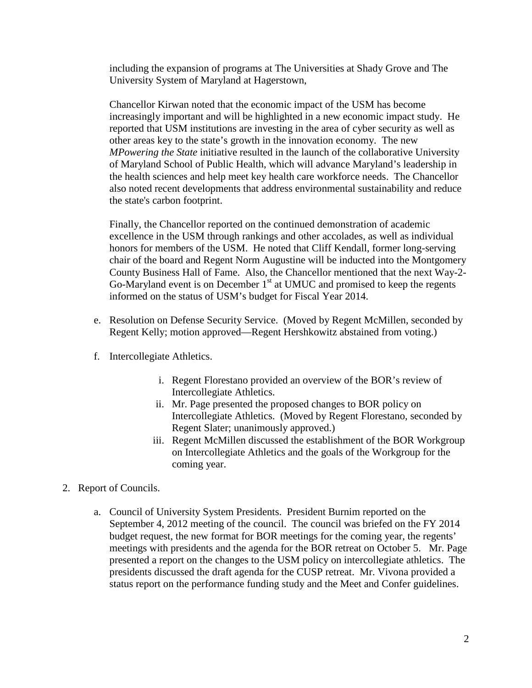including the expansion of programs at The Universities at Shady Grove and The University System of Maryland at Hagerstown,

Chancellor Kirwan noted that the economic impact of the USM has become increasingly important and will be highlighted in a new economic impact study. He reported that USM institutions are investing in the area of cyber security as well as other areas key to the state's growth in the innovation economy. The new *MPowering the State* initiative resulted in the launch of the collaborative University of Maryland School of Public Health, which will advance Maryland's leadership in the health sciences and help meet key health care workforce needs. The Chancellor also noted recent developments that address environmental sustainability and reduce the state's carbon footprint.

Finally, the Chancellor reported on the continued demonstration of academic excellence in the USM through rankings and other accolades, as well as individual honors for members of the USM. He noted that Cliff Kendall, former long-serving chair of the board and Regent Norm Augustine will be inducted into the Montgomery County Business Hall of Fame. Also, the Chancellor mentioned that the next Way-2- Go-Maryland event is on December  $1<sup>st</sup>$  at UMUC and promised to keep the regents informed on the status of USM's budget for Fiscal Year 2014.

- e. Resolution on Defense Security Service. (Moved by Regent McMillen, seconded by Regent Kelly; motion approved—Regent Hershkowitz abstained from voting.)
- f. Intercollegiate Athletics.
	- i. Regent Florestano provided an overview of the BOR's review of Intercollegiate Athletics.
	- ii. Mr. Page presented the proposed changes to BOR policy on Intercollegiate Athletics. (Moved by Regent Florestano, seconded by Regent Slater; unanimously approved.)
	- iii. Regent McMillen discussed the establishment of the BOR Workgroup on Intercollegiate Athletics and the goals of the Workgroup for the coming year.
- 2. Report of Councils.
	- a. Council of University System Presidents. President Burnim reported on the September 4, 2012 meeting of the council. The council was briefed on the FY 2014 budget request, the new format for BOR meetings for the coming year, the regents' meetings with presidents and the agenda for the BOR retreat on October 5. Mr. Page presented a report on the changes to the USM policy on intercollegiate athletics. The presidents discussed the draft agenda for the CUSP retreat. Mr. Vivona provided a status report on the performance funding study and the Meet and Confer guidelines.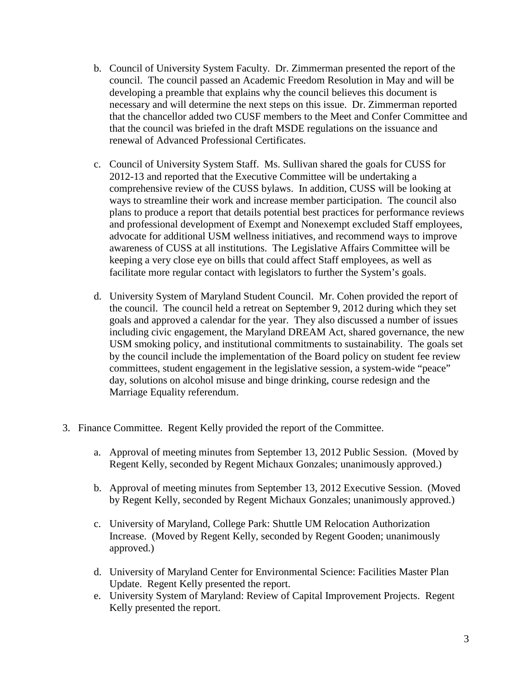- b. Council of University System Faculty. Dr. Zimmerman presented the report of the council. The council passed an Academic Freedom Resolution in May and will be developing a preamble that explains why the council believes this document is necessary and will determine the next steps on this issue. Dr. Zimmerman reported that the chancellor added two CUSF members to the Meet and Confer Committee and that the council was briefed in the draft MSDE regulations on the issuance and renewal of Advanced Professional Certificates.
- c. Council of University System Staff. Ms. Sullivan shared the goals for CUSS for 2012-13 and reported that the Executive Committee will be undertaking a comprehensive review of the CUSS bylaws. In addition, CUSS will be looking at ways to streamline their work and increase member participation. The council also plans to produce a report that details potential best practices for performance reviews and professional development of Exempt and Nonexempt excluded Staff employees, advocate for additional USM wellness initiatives, and recommend ways to improve awareness of CUSS at all institutions. The Legislative Affairs Committee will be keeping a very close eye on bills that could affect Staff employees, as well as facilitate more regular contact with legislators to further the System's goals.
- d. University System of Maryland Student Council. Mr. Cohen provided the report of the council. The council held a retreat on September 9, 2012 during which they set goals and approved a calendar for the year. They also discussed a number of issues including civic engagement, the Maryland DREAM Act, shared governance, the new USM smoking policy, and institutional commitments to sustainability. The goals set by the council include the implementation of the Board policy on student fee review committees, student engagement in the legislative session, a system-wide "peace" day, solutions on alcohol misuse and binge drinking, course redesign and the Marriage Equality referendum.
- 3. Finance Committee. Regent Kelly provided the report of the Committee.
	- a. Approval of meeting minutes from September 13, 2012 Public Session. (Moved by Regent Kelly, seconded by Regent Michaux Gonzales; unanimously approved.)
	- b. Approval of meeting minutes from September 13, 2012 Executive Session. (Moved by Regent Kelly, seconded by Regent Michaux Gonzales; unanimously approved.)
	- c. University of Maryland, College Park: Shuttle UM Relocation Authorization Increase. (Moved by Regent Kelly, seconded by Regent Gooden; unanimously approved.)
	- d. University of Maryland Center for Environmental Science: Facilities Master Plan Update. Regent Kelly presented the report.
	- e. University System of Maryland: Review of Capital Improvement Projects. Regent Kelly presented the report.